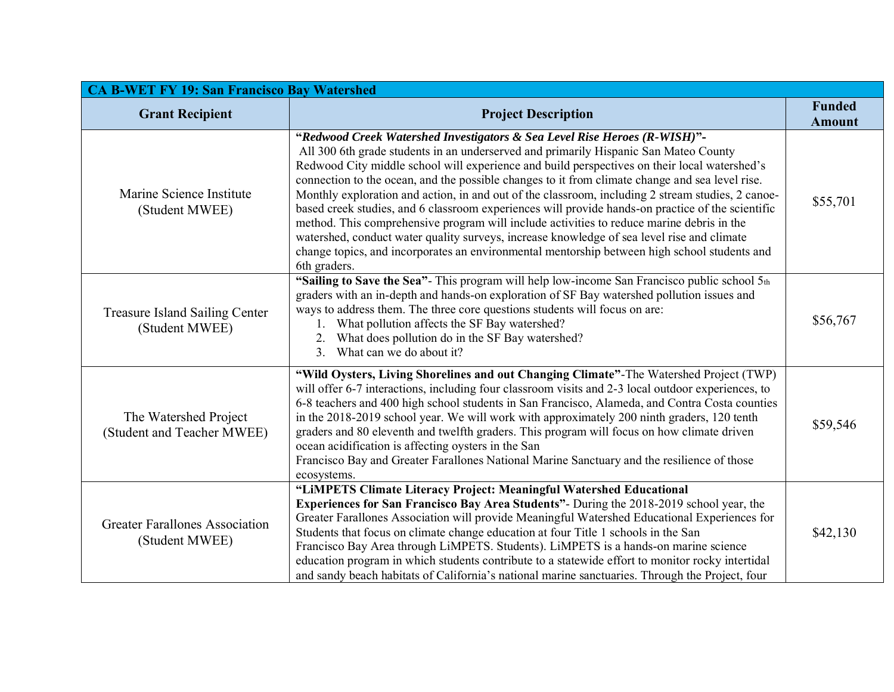| <b>CA B-WET FY 19: San Francisco Bay Watershed</b>      |                                                                                                                                                                                                                                                                                                                                                                                                                                                                                                                                                                                                                                                                                                                                                                                                                                                                                           |                                |  |  |
|---------------------------------------------------------|-------------------------------------------------------------------------------------------------------------------------------------------------------------------------------------------------------------------------------------------------------------------------------------------------------------------------------------------------------------------------------------------------------------------------------------------------------------------------------------------------------------------------------------------------------------------------------------------------------------------------------------------------------------------------------------------------------------------------------------------------------------------------------------------------------------------------------------------------------------------------------------------|--------------------------------|--|--|
| <b>Grant Recipient</b>                                  | <b>Project Description</b>                                                                                                                                                                                                                                                                                                                                                                                                                                                                                                                                                                                                                                                                                                                                                                                                                                                                | <b>Funded</b><br><b>Amount</b> |  |  |
| Marine Science Institute<br>(Student MWEE)              | "Redwood Creek Watershed Investigators & Sea Level Rise Heroes (R-WISH)"-<br>All 300 6th grade students in an underserved and primarily Hispanic San Mateo County<br>Redwood City middle school will experience and build perspectives on their local watershed's<br>connection to the ocean, and the possible changes to it from climate change and sea level rise.<br>Monthly exploration and action, in and out of the classroom, including 2 stream studies, 2 canoe-<br>based creek studies, and 6 classroom experiences will provide hands-on practice of the scientific<br>method. This comprehensive program will include activities to reduce marine debris in the<br>watershed, conduct water quality surveys, increase knowledge of sea level rise and climate<br>change topics, and incorporates an environmental mentorship between high school students and<br>6th graders. | \$55,701                       |  |  |
| <b>Treasure Island Sailing Center</b><br>(Student MWEE) | "Sailing to Save the Sea"- This program will help low-income San Francisco public school 5th<br>graders with an in-depth and hands-on exploration of SF Bay watershed pollution issues and<br>ways to address them. The three core questions students will focus on are:<br>What pollution affects the SF Bay watershed?<br>2. What does pollution do in the SF Bay watershed?<br>What can we do about it?<br>3 <sub>1</sub>                                                                                                                                                                                                                                                                                                                                                                                                                                                              | \$56,767                       |  |  |
| The Watershed Project<br>(Student and Teacher MWEE)     | "Wild Oysters, Living Shorelines and out Changing Climate"-The Watershed Project (TWP)<br>will offer 6-7 interactions, including four classroom visits and 2-3 local outdoor experiences, to<br>6-8 teachers and 400 high school students in San Francisco, Alameda, and Contra Costa counties<br>in the 2018-2019 school year. We will work with approximately 200 ninth graders, 120 tenth<br>graders and 80 eleventh and twelfth graders. This program will focus on how climate driven<br>ocean acidification is affecting oysters in the San<br>Francisco Bay and Greater Farallones National Marine Sanctuary and the resilience of those<br>ecosystems.                                                                                                                                                                                                                            | \$59,546                       |  |  |
| <b>Greater Farallones Association</b><br>(Student MWEE) | "LIMPETS Climate Literacy Project: Meaningful Watershed Educational<br><b>Experiences for San Francisco Bay Area Students"</b> - During the 2018-2019 school year, the<br>Greater Farallones Association will provide Meaningful Watershed Educational Experiences for<br>Students that focus on climate change education at four Title 1 schools in the San<br>Francisco Bay Area through LiMPETS. Students). LiMPETS is a hands-on marine science<br>education program in which students contribute to a statewide effort to monitor rocky intertidal<br>and sandy beach habitats of California's national marine sanctuaries. Through the Project, four                                                                                                                                                                                                                                | \$42,130                       |  |  |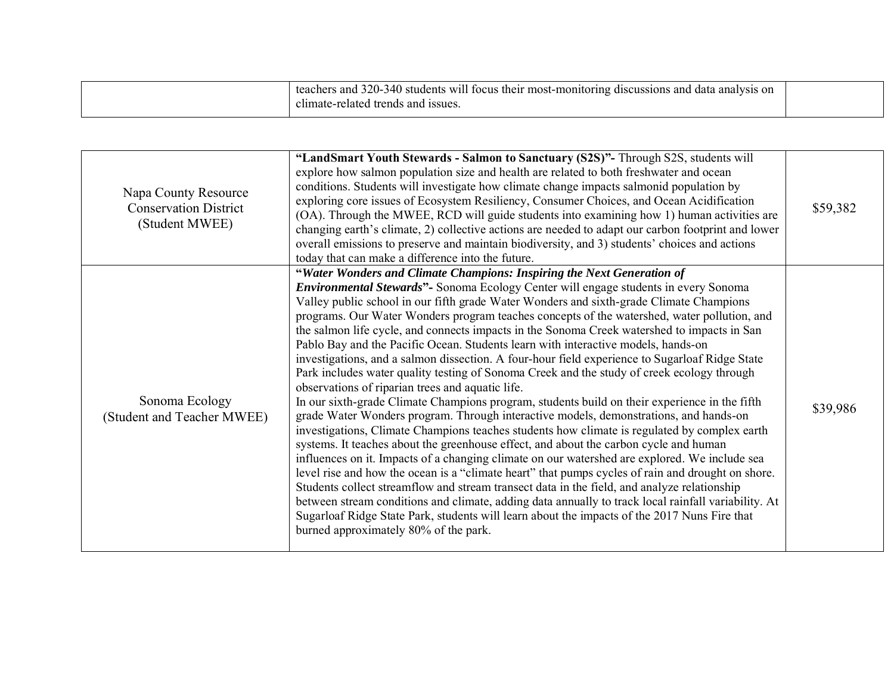| teachers and 320-340 students will focus their most-monitoring discussions and data analysis on<br>climate-related trends and issues. |  |
|---------------------------------------------------------------------------------------------------------------------------------------|--|
|                                                                                                                                       |  |

| Napa County Resource<br><b>Conservation District</b><br>(Student MWEE) | "LandSmart Youth Stewards - Salmon to Sanctuary (S2S)"- Through S2S, students will<br>explore how salmon population size and health are related to both freshwater and ocean<br>conditions. Students will investigate how climate change impacts salmonid population by<br>exploring core issues of Ecosystem Resiliency, Consumer Choices, and Ocean Acidification<br>(OA). Through the MWEE, RCD will guide students into examining how 1) human activities are<br>changing earth's climate, 2) collective actions are needed to adapt our carbon footprint and lower<br>overall emissions to preserve and maintain biodiversity, and 3) students' choices and actions<br>today that can make a difference into the future.                                                                                                                                                                                                                                                                                                                                                                                                                                                                                                                                                                                                                                                                                                                                                                                                                                                                                                                                                                                                                   | \$59,382 |
|------------------------------------------------------------------------|-------------------------------------------------------------------------------------------------------------------------------------------------------------------------------------------------------------------------------------------------------------------------------------------------------------------------------------------------------------------------------------------------------------------------------------------------------------------------------------------------------------------------------------------------------------------------------------------------------------------------------------------------------------------------------------------------------------------------------------------------------------------------------------------------------------------------------------------------------------------------------------------------------------------------------------------------------------------------------------------------------------------------------------------------------------------------------------------------------------------------------------------------------------------------------------------------------------------------------------------------------------------------------------------------------------------------------------------------------------------------------------------------------------------------------------------------------------------------------------------------------------------------------------------------------------------------------------------------------------------------------------------------------------------------------------------------------------------------------------------------|----------|
| Sonoma Ecology<br>(Student and Teacher MWEE)                           | "Water Wonders and Climate Champions: Inspiring the Next Generation of<br><b>Environmental Stewards"</b> - Sonoma Ecology Center will engage students in every Sonoma<br>Valley public school in our fifth grade Water Wonders and sixth-grade Climate Champions<br>programs. Our Water Wonders program teaches concepts of the watershed, water pollution, and<br>the salmon life cycle, and connects impacts in the Sonoma Creek watershed to impacts in San<br>Pablo Bay and the Pacific Ocean. Students learn with interactive models, hands-on<br>investigations, and a salmon dissection. A four-hour field experience to Sugarloaf Ridge State<br>Park includes water quality testing of Sonoma Creek and the study of creek ecology through<br>observations of riparian trees and aquatic life.<br>In our sixth-grade Climate Champions program, students build on their experience in the fifth<br>grade Water Wonders program. Through interactive models, demonstrations, and hands-on<br>investigations, Climate Champions teaches students how climate is regulated by complex earth<br>systems. It teaches about the greenhouse effect, and about the carbon cycle and human<br>influences on it. Impacts of a changing climate on our watershed are explored. We include sea<br>level rise and how the ocean is a "climate heart" that pumps cycles of rain and drought on shore.<br>Students collect streamflow and stream transect data in the field, and analyze relationship<br>between stream conditions and climate, adding data annually to track local rainfall variability. At<br>Sugarloaf Ridge State Park, students will learn about the impacts of the 2017 Nuns Fire that<br>burned approximately 80% of the park. | \$39,986 |